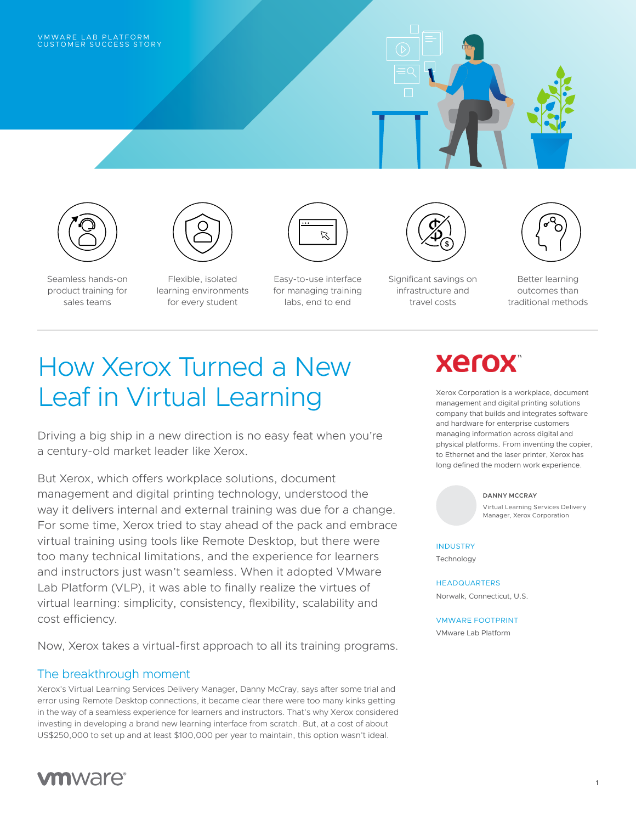## VMWARE LAB PLATFORM<br>CUSTOMER SUCCESS STORY







Seamless hands-on product training for sales teams

Flexible, isolated learning environments for every student



Easy-to-use interface for managing training labs, end to end



Significant savings on infrastructure and travel costs



Better learning outcomes than traditional methods

# How Xerox Turned a New Leaf in Virtual Learning

Driving a big ship in a new direction is no easy feat when you're a century-old market leader like Xerox.

But Xerox, which offers workplace solutions, document management and digital printing technology, understood the way it delivers internal and external training was due for a change. For some time, Xerox tried to stay ahead of the pack and embrace virtual training using tools like Remote Desktop, but there were too many technical limitations, and the experience for learners and instructors just wasn't seamless. When it adopted VMware Lab Platform (VLP), it was able to finally realize the virtues of virtual learning: simplicity, consistency, flexibility, scalability and cost efficiency.

Now, Xerox takes a virtual-first approach to all its training programs.

### The breakthrough moment

Xerox's Virtual Learning Services Delivery Manager, Danny McCray, says after some trial and error using Remote Desktop connections, it became clear there were too many kinks getting in the way of a seamless experience for learners and instructors. That's why Xerox considered investing in developing a brand new learning interface from scratch. But, at a cost of about US\$250,000 to set up and at least \$100,000 per year to maintain, this option wasn't ideal.



# **Xerox**

Xerox Corporation is a workplace, document management and digital printing solutions company that builds and integrates software and hardware for enterprise customers managing information across digital and physical platforms. From inventing the copier, to Ethernet and the laser printer, Xerox has long defined the modern work experience.

#### **DANNY MCCRAY**

Virtual Learning Services Delivery Manager, Xerox Corporation

**INDUSTRY** Technology

HEADQUARTERS Norwalk, Connecticut, U.S.

### VMWARE FOOTPRINT

VMware Lab Platform